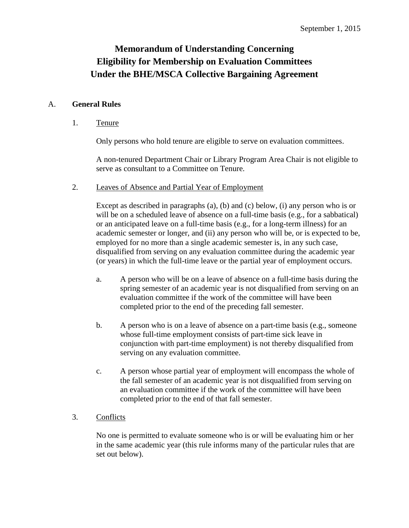# **Memorandum of Understanding Concerning Eligibility for Membership on Evaluation Committees Under the BHE/MSCA Collective Bargaining Agreement**

# A. **General Rules**

# 1. Tenure

Only persons who hold tenure are eligible to serve on evaluation committees.

A non-tenured Department Chair or Library Program Area Chair is not eligible to serve as consultant to a Committee on Tenure.

2. Leaves of Absence and Partial Year of Employment

Except as described in paragraphs (a), (b) and (c) below, (i) any person who is or will be on a scheduled leave of absence on a full-time basis (e.g., for a sabbatical) or an anticipated leave on a full-time basis (e.g., for a long-term illness) for an academic semester or longer, and (ii) any person who will be, or is expected to be, employed for no more than a single academic semester is, in any such case, disqualified from serving on any evaluation committee during the academic year (or years) in which the full-time leave or the partial year of employment occurs.

- a. A person who will be on a leave of absence on a full-time basis during the spring semester of an academic year is not disqualified from serving on an evaluation committee if the work of the committee will have been completed prior to the end of the preceding fall semester.
- b. A person who is on a leave of absence on a part-time basis (e.g., someone whose full-time employment consists of part-time sick leave in conjunction with part-time employment) is not thereby disqualified from serving on any evaluation committee.
- c. A person whose partial year of employment will encompass the whole of the fall semester of an academic year is not disqualified from serving on an evaluation committee if the work of the committee will have been completed prior to the end of that fall semester.

# 3. Conflicts

No one is permitted to evaluate someone who is or will be evaluating him or her in the same academic year (this rule informs many of the particular rules that are set out below).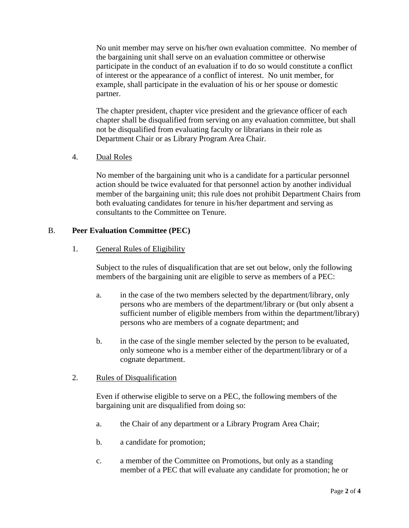No unit member may serve on his/her own evaluation committee. No member of the bargaining unit shall serve on an evaluation committee or otherwise participate in the conduct of an evaluation if to do so would constitute a conflict of interest or the appearance of a conflict of interest. No unit member, for example, shall participate in the evaluation of his or her spouse or domestic partner.

The chapter president, chapter vice president and the grievance officer of each chapter shall be disqualified from serving on any evaluation committee, but shall not be disqualified from evaluating faculty or librarians in their role as Department Chair or as Library Program Area Chair.

4. Dual Roles

No member of the bargaining unit who is a candidate for a particular personnel action should be twice evaluated for that personnel action by another individual member of the bargaining unit; this rule does not prohibit Department Chairs from both evaluating candidates for tenure in his/her department and serving as consultants to the Committee on Tenure.

# B. **Peer Evaluation Committee (PEC)**

#### 1. General Rules of Eligibility

Subject to the rules of disqualification that are set out below, only the following members of the bargaining unit are eligible to serve as members of a PEC:

- a. in the case of the two members selected by the department/library, only persons who are members of the department/library or (but only absent a sufficient number of eligible members from within the department/library) persons who are members of a cognate department; and
- b. in the case of the single member selected by the person to be evaluated, only someone who is a member either of the department/library or of a cognate department.

#### 2. Rules of Disqualification

Even if otherwise eligible to serve on a PEC, the following members of the bargaining unit are disqualified from doing so:

- a. the Chair of any department or a Library Program Area Chair;
- b. a candidate for promotion;
- c. a member of the Committee on Promotions, but only as a standing member of a PEC that will evaluate any candidate for promotion; he or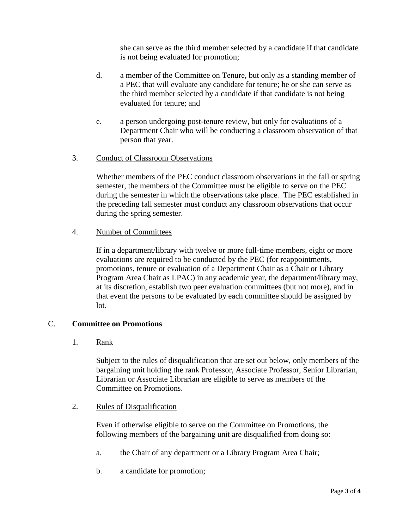she can serve as the third member selected by a candidate if that candidate is not being evaluated for promotion;

- d. a member of the Committee on Tenure, but only as a standing member of a PEC that will evaluate any candidate for tenure; he or she can serve as the third member selected by a candidate if that candidate is not being evaluated for tenure; and
- e. a person undergoing post-tenure review, but only for evaluations of a Department Chair who will be conducting a classroom observation of that person that year.

# 3. Conduct of Classroom Observations

Whether members of the PEC conduct classroom observations in the fall or spring semester, the members of the Committee must be eligible to serve on the PEC during the semester in which the observations take place. The PEC established in the preceding fall semester must conduct any classroom observations that occur during the spring semester.

#### 4. Number of Committees

If in a department/library with twelve or more full-time members, eight or more evaluations are required to be conducted by the PEC (for reappointments, promotions, tenure or evaluation of a Department Chair as a Chair or Library Program Area Chair as LPAC) in any academic year, the department/library may, at its discretion, establish two peer evaluation committees (but not more), and in that event the persons to be evaluated by each committee should be assigned by lot.

# C. **Committee on Promotions**

1. Rank

Subject to the rules of disqualification that are set out below, only members of the bargaining unit holding the rank Professor, Associate Professor, Senior Librarian, Librarian or Associate Librarian are eligible to serve as members of the Committee on Promotions.

#### 2. Rules of Disqualification

Even if otherwise eligible to serve on the Committee on Promotions, the following members of the bargaining unit are disqualified from doing so:

- a. the Chair of any department or a Library Program Area Chair;
- b. a candidate for promotion;